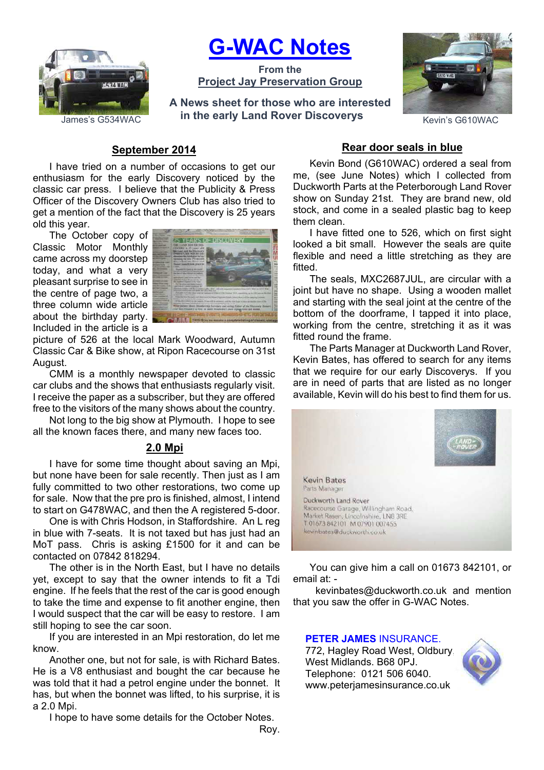

# **G-WAC Notes**

**From the Project Jay Preservation Group**

James's G534WAC **him the early Land Rover Discoverys Example 26 Kevin's G610WAC A News sheet for those who are interested** 



## **September 2014**

I have tried on a number of occasions to get our enthusiasm for the early Discovery noticed by the classic car press. I believe that the Publicity & Press Officer of the Discovery Owners Club has also tried to get a mention of the fact that the Discovery is 25 years old this year.

The October copy of Classic Motor Monthly came across my doorstep today, and what a very pleasant surprise to see in the centre of page two, a three column wide article about the birthday party. Included in the article is a



picture of 526 at the local Mark Woodward, Autumn Classic Car & Bike show, at Ripon Racecourse on 31st August.

CMM is a monthly newspaper devoted to classic car clubs and the shows that enthusiasts regularly visit. I receive the paper as a subscriber, but they are offered free to the visitors of the many shows about the country.

Not long to the big show at Plymouth. I hope to see all the known faces there, and many new faces too.

## **2.0 Mpi**

I have for some time thought about saving an Mpi, but none have been for sale recently. Then just as I am fully committed to two other restorations, two come up for sale. Now that the pre pro is finished, almost, I intend to start on G478WAC, and then the A registered 5-door.

One is with Chris Hodson, in Staffordshire. An L reg in blue with 7-seats. It is not taxed but has just had an MoT pass. Chris is asking £1500 for it and can be contacted on 07842 818294.

The other is in the North East, but I have no details yet, except to say that the owner intends to fit a Tdi engine. If he feels that the rest of the car is good enough to take the time and expense to fit another engine, then I would suspect that the car will be easy to restore. I am still hoping to see the car soon.

If you are interested in an Mpi restoration, do let me know.

Another one, but not for sale, is with Richard Bates. He is a V8 enthusiast and bought the car because he was told that it had a petrol engine under the bonnet. It has, but when the bonnet was lifted, to his surprise, it is a 2.0 Mpi.

I hope to have some details for the October Notes.

Roy.

# **Rear door seals in blue**

Kevin Bond (G610WAC) ordered a seal from me, (see June Notes) which I collected from Duckworth Parts at the Peterborough Land Rover show on Sunday 21st. They are brand new, old stock, and come in a sealed plastic bag to keep them clean.

I have fitted one to 526, which on first sight looked a bit small. However the seals are quite flexible and need a little stretching as they are fitted.

The seals, MXC2687JUL, are circular with a joint but have no shape. Using a wooden mallet and starting with the seal joint at the centre of the bottom of the doorframe, I tapped it into place, working from the centre, stretching it as it was fitted round the frame.

The Parts Manager at Duckworth Land Rover, Kevin Bates, has offered to search for any items that we require for our early Discoverys. If you are in need of parts that are listed as no longer available, Kevin will do his best to find them for us.



You can give him a call on 01673 842101, or email at: -

kevinbates@duckworth.co.uk and mention that you saw the offer in G-WAC Notes.

#### **PETER JAMES** INSURANCE.

772, Hagley Road West, Oldbury, West Midlands. B68 0PJ. Telephone: 0121 506 6040. www.peterjamesinsurance.co.uk

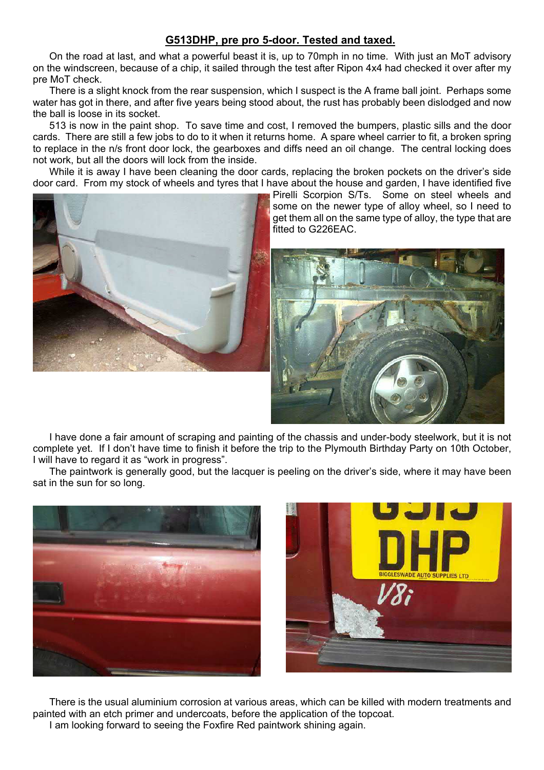# **G513DHP, pre pro 5-door. Tested and taxed.**

On the road at last, and what a powerful beast it is, up to 70mph in no time. With just an MoT advisory on the windscreen, because of a chip, it sailed through the test after Ripon 4x4 had checked it over after my pre MoT check.

There is a slight knock from the rear suspension, which I suspect is the A frame ball joint. Perhaps some water has got in there, and after five years being stood about, the rust has probably been dislodged and now the ball is loose in its socket.

513 is now in the paint shop. To save time and cost, I removed the bumpers, plastic sills and the door cards. There are still a few jobs to do to it when it returns home. A spare wheel carrier to fit, a broken spring to replace in the n/s front door lock, the gearboxes and diffs need an oil change. The central locking does not work, but all the doors will lock from the inside.

While it is away I have been cleaning the door cards, replacing the broken pockets on the driver's side door card. From my stock of wheels and tyres that I have about the house and garden, I have identified five



Pirelli Scorpion S/Ts. Some on steel wheels and some on the newer type of alloy wheel, so I need to get them all on the same type of alloy, the type that are fitted to G226EAC.



I have done a fair amount of scraping and painting of the chassis and under-body steelwork, but it is not complete yet. If I don't have time to finish it before the trip to the Plymouth Birthday Party on 10th October, I will have to regard it as "work in progress".

The paintwork is generally good, but the lacquer is peeling on the driver's side, where it may have been sat in the sun for so long.





There is the usual aluminium corrosion at various areas, which can be killed with modern treatments and painted with an etch primer and undercoats, before the application of the topcoat. I am looking forward to seeing the Foxfire Red paintwork shining again.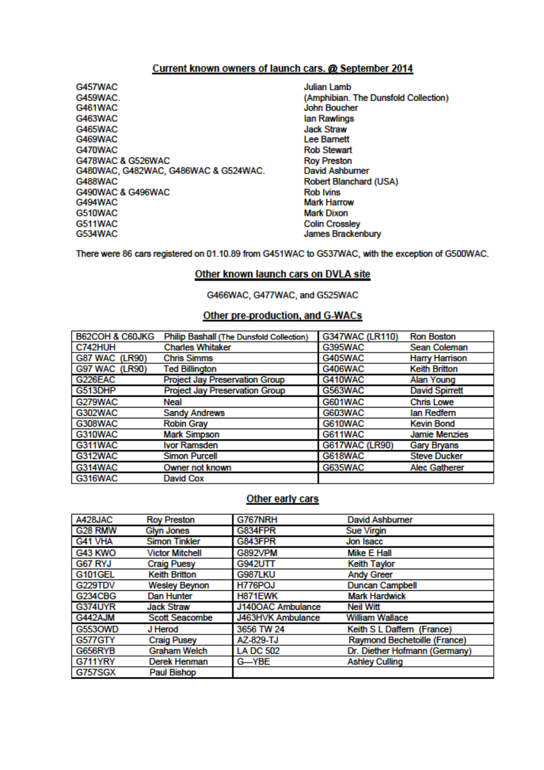## Current known owners of launch cars. @ September 2014

- G457WAC G459WAC **G461WAC** G463WAC G465WAC G469WAC G470WAC G478WAC & G526WAC G480WAC, G482WAC, G486WAC & G524WAC. G488WAC G490WAC & G496WAC G494WAC G510WAC **G511WAC** G534WAC
- **Julian Lamb** (Amphibian, The Dunsfold Collection) **John Boucher** lan Rawlings **Jack Straw Lee Barnett Rob Stewart Roy Preston David Ashburner** Robert Blanchard (USA) **Rob Ivins Mark Harrow Mark Dixon Colin Crossley** James Brackenbury

There were 86 cars registered on 01.10.89 from G451WAC to G537WAC, with the exception of G500WAC.

#### Other known launch cars on DVLA site

G466WAC, G477WAC, and G525WAC

## Other pre-production, and G-WACs

| B62COH & C60JKG       | Philip Bashall (The Dunsfold Collection) | G347WAC (LR110)       | <b>Ron Boston</b>     |
|-----------------------|------------------------------------------|-----------------------|-----------------------|
| C742HUH               | <b>Charles Whitaker</b>                  | G395WAC               | Sean Coleman          |
| <b>G87 WAC (LR90)</b> | <b>Chris Simms</b>                       | G405WAC               | <b>Harry Harrison</b> |
| <b>G97 WAC (LR90)</b> | <b>Ted Billington</b>                    | G406WAC               | <b>Keith Britton</b>  |
| G226EAC               | <b>Project Jay Preservation Group</b>    | G410WAC               | Alan Young            |
| G513DHP               | <b>Project Jay Preservation Group</b>    | G563WAC               | <b>David Spirrett</b> |
| G279WAC               | Neal                                     | <b>G601WAC</b>        | <b>Chris Lowe</b>     |
| <b>G302WAC</b>        | <b>Sandy Andrews</b>                     | G603WAC               | lan Redfern           |
| <b>G308WAC</b>        | <b>Robin Gray</b>                        | G610WAC               | <b>Kevin Bond</b>     |
| G310WAC               | <b>Mark Simpson</b>                      | G611WAC               | <b>Jamie Menzies</b>  |
| G311WAC               | Ivor Ramsden                             | <b>G617WAC (LR90)</b> | <b>Gary Bryans</b>    |
| <b>G312WAC</b>        | <b>Simon Purcell</b>                     | <b>G618WAC</b>        | <b>Steve Ducker</b>   |
| G314WAC               | Owner not known                          | <b>G635WAC</b>        | <b>Alec Gatherer</b>  |
| G316WAC               | David Cox                                |                       |                       |

#### Other early cars

| A428JAC        | <b>Roy Preston</b>     | G767NRH           | <b>David Ashburner</b>        |
|----------------|------------------------|-------------------|-------------------------------|
| G28 RMW        | <b>Glyn Jones</b>      | G834FPR           | <b>Sue Virgin</b>             |
| G41 VHA        | <b>Simon Tinkler</b>   | G843FPR           | Jon Isacc                     |
| G43 KWO        | <b>Victor Mitchell</b> | G892VPM           | Mike E Hall                   |
| G67 RYJ        | <b>Craig Puesy</b>     | G942UTT           | <b>Keith Taylor</b>           |
| <b>G101GEL</b> | <b>Keith Britton</b>   | G987LKU           | <b>Andy Greer</b>             |
| G229TDV        | <b>Wesley Beynon</b>   | H776POJ           | <b>Duncan Campbell</b>        |
| G234CBG        | Dan Hunter             | H871EWK           | <b>Mark Hardwick</b>          |
| <b>G374UYR</b> | <b>Jack Straw</b>      | J140OAC Ambulance | <b>Neil Witt</b>              |
| G442AJM        | <b>Scott Seacombe</b>  | J463HVK Ambulance | <b>William Wallace</b>        |
| <b>G5530WD</b> | J Herod                | 3656 TW 24        | Keith S L Daffern (France)    |
| G577GTY        | <b>Craig Pusey</b>     | AZ-829-TJ         | Raymond Bechetoille (France)  |
| <b>G656RYB</b> | <b>Graham Welch</b>    | <b>LA DC 502</b>  | Dr. Diether Hofmann (Germany) |
| G711YRY        | Derek Henman           | G-YBE             | <b>Ashley Culling</b>         |
| <b>G757SGX</b> | Paul Bishop            |                   |                               |